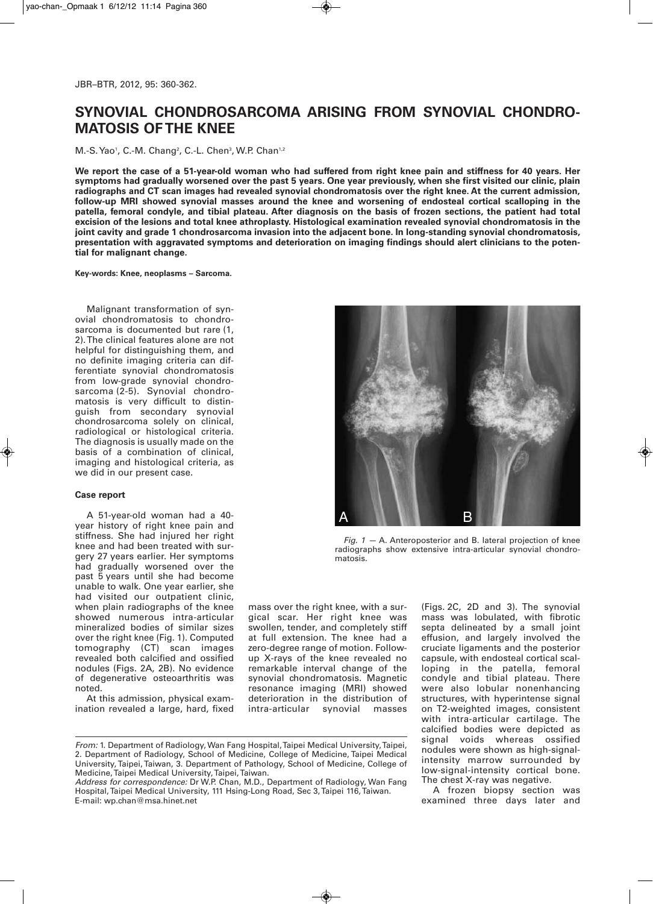# **SYNOVIAL CHONDROSARCOMA ARISING FROM SYNOVIAL CHONDRO-MATOSIS OF THE KNEE**

M.-S. Yao<sup>1</sup>, C.-M. Chang<sup>2</sup>, C.-L. Chen<sup>3</sup>, W.P. Chan<sup>1,2</sup>

We report the case of a 51-year-old woman who had suffered from right knee pain and stiffness for 40 years. Her symptoms had gradually worsened over the past 5 years. One year previously, when she first visited our clinic, plain radiographs and CT scan images had revealed synovial chondromatosis over the right knee. At the current admission, **follow-up MRI showed synovial masses around the knee and worsening of endosteal cortical scalloping in the** patella, femoral condyle, and tibial plateau. After diagnosis on the basis of frozen sections, the patient had total **excision of the lesions and total knee athroplasty. Histological examination revealed synovial chondromatosis in the joint cavity and grade 1 chondrosarcoma invasion into the adjacent bone. In long-standing synovial chondromatosis, presentation with aggravated symptoms and deterioration on imaging findings should alert clinicians to the potential for malignant change.**

## **Key-words: Knee, neoplasms – Sarcoma.**

Malignant transformation of synovial chondromatosis to chondrosarcoma is documented but rare (1, 2).The clinical features alone are not helpful for distinguishing them, and no definite imaging criteria can differentiate synovial chondromatosis from low-grade synovial chondrosarcoma (2-5). Synovial chondromatosis is very difficult to distinguish from secondary synovial chondrosarcoma solely on clinical, radiological or histological criteria. The diagnosis is usually made on the basis of a combination of clinical, imaging and histological criteria, as we did in our present case.

# **Case report**

A 51-year-old woman had a 40 year history of right knee pain and stiffness. She had injured her right knee and had been treated with surgery 27 years earlier. Her symptoms had gradually worsened over the past 5 years until she had become unable to walk. One year earlier, she had visited our outpatient clinic, when plain radiographs of the knee showed numerous intra-articular mineralized bodies of similar sizes over the right knee (Fig. 1). Computed tomography (CT) scan images revealed both calcified and ossified nodules (Figs. 2A, 2B). No evidence of degenerative osteoarthritis was noted.

At this admission, physical examination revealed a large, hard, fixed mass over the right knee, with a surgical scar. Her right knee was swollen, tender, and completely stiff at full extension. The knee had a zero-degree range of motion. Followup X-rays of the knee revealed no remarkable interval change of the synovial chondromatosis. Magnetic resonance imaging (MRI) showed deterioration in the distribution of intra-articular synovial masses

*Address for correspondence:* Dr W.P. Chan, M.D., Department of Radiology, Wan Fang Hospital,Taipei Medical University, 111 Hsing-Long Road, Sec 3,Taipei 116,Taiwan. E-mail: wp.chan@msa.hinet.net

(Figs. 2C, 2D and 3). The synovial mass was lobulated, with fibrotic septa delineated by a small joint effusion, and largely involved the cruciate ligaments and the posterior capsule, with endosteal cortical scalloping in the patella, femoral condyle and tibial plateau. There were also lobular nonenhancing structures, with hyperintense signal on T2-weighted images, consistent with intra-articular cartilage. The calcified bodies were depicted as signal voids whereas ossified nodules were shown as high-signalintensity marrow surrounded by low-signal-intensity cortical bone. The chest X-ray was negative.

A frozen biopsy section was examined three days later and

*Fig. 1 —* A. Anteroposterior and B. lateral projection of knee radiographs show extensive intra-articular synovial chondromatosis.



*From:* 1. Department of Radiology, Wan Fang Hospital,Taipei Medical University,Taipei, 2. Department of Radiology, School of Medicine, College of Medicine, Taipei Medical University, Taipei, Taiwan, 3. Department of Pathology, School of Medicine, College of Medicine,Taipei Medical University,Taipei,Taiwan.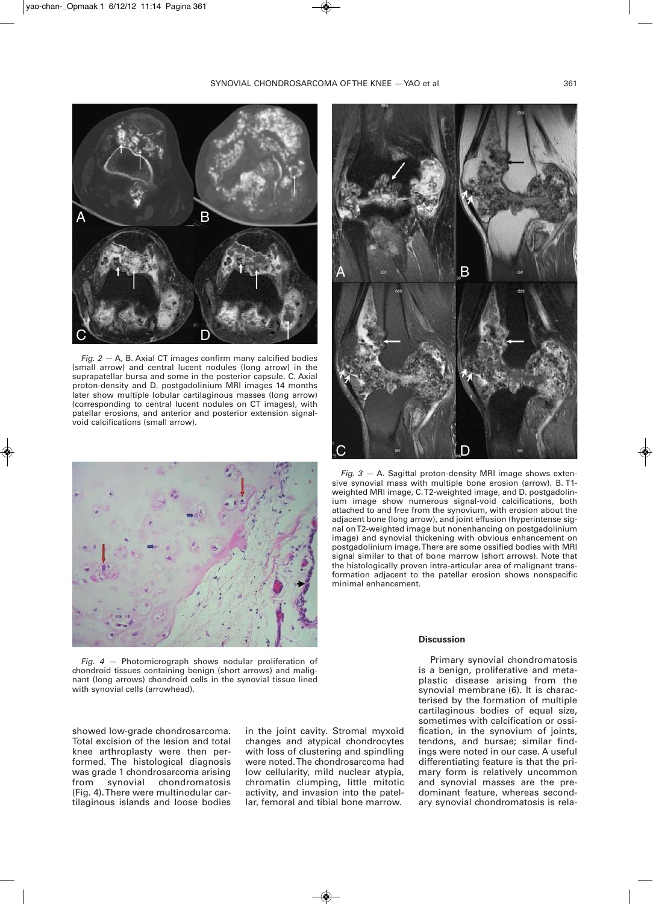

*Fig. 2 —* A, B. Axial CT images confirm many calcified bodies (small arrow) and central lucent nodules (long arrow) in the suprapatellar bursa and some in the posterior capsule. C. Axial proton-density and D. postgadolinium MRI images 14 months later show multiple lobular cartilaginous masses (long arrow) (corresponding to central lucent nodules on CT images), with patellar erosions, and anterior and posterior extension signalvoid calcifications (small arrow).



*Fig. 4 —* Photomicrograph shows nodular proliferation of chondroid tissues containing benign (short arrows) and malignant (long arrows) chondroid cells in the synovial tissue lined with synovial cells (arrowhead).

showed low-grade chondrosarcoma. Total excision of the lesion and total knee arthroplasty were then performed. The histological diagnosis was grade 1 chondrosarcoma arising<br>from synovial chondromatosis from synovial chondromatosis (Fig. 4).There were multinodular cartilaginous islands and loose bodies

in the joint cavity. Stromal myxoid changes and atypical chondrocytes with loss of clustering and spindling were noted.The chondrosarcoma had low cellularity, mild nuclear atypia, chromatin clumping, little mitotic activity, and invasion into the patellar, femoral and tibial bone marrow.



*Fig. 3 —* A. Sagittal proton-density MRI image shows extensive synovial mass with multiple bone erosion (arrow). B. T1 weighted MRI image, C.T2-weighted image, and D. postgadolinium image show numerous signal-void calcifications, both attached to and free from the synovium, with erosion about the adjacent bone (long arrow), and joint effusion (hyperintense signal onT2-weighted image but nonenhancing on postgadolinium image) and synovial thickening with obvious enhancement on postgadolinium image.There are some ossified bodies with MRI signal similar to that of bone marrow (short arrows). Note that the histologically proven intra-articular area of malignant transformation adjacent to the patellar erosion shows nonspecific minimal enhancement.

#### **Discussion**

Primary synovial chondromatosis is a benign, proliferative and metaplastic disease arising from the synovial membrane (6). It is characterised by the formation of multiple cartilaginous bodies of equal size, sometimes with calcification or ossification, in the synovium of joints, tendons, and bursae; similar findings were noted in our case. A useful differentiating feature is that the primary form is relatively uncommon and synovial masses are the predominant feature, whereas secondary synovial chondromatosis is rela